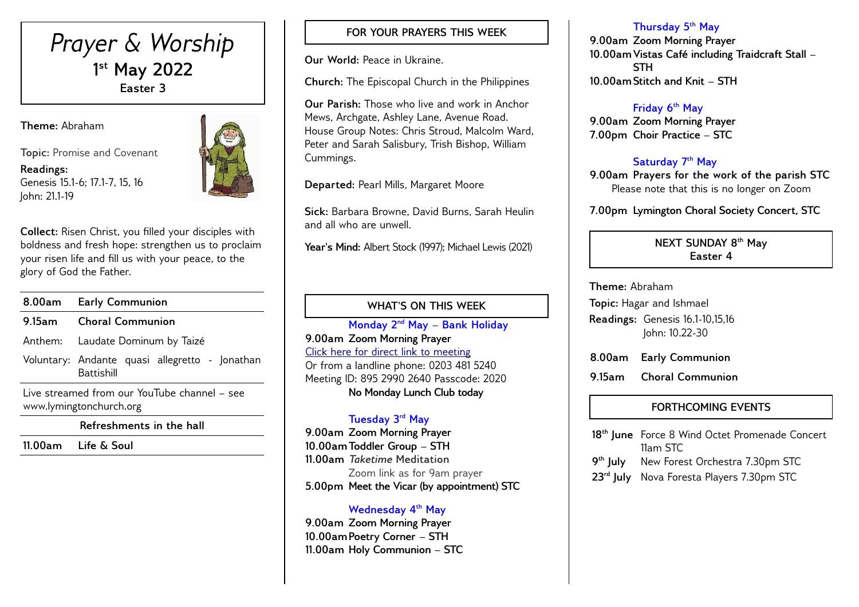# *Prayer & Worship* **1 st May 2022 Easter 3**

**Theme:** Abraham

**Topic:** Promise and Covenant

**Readings:** Genesis 15.1-6; 17.1-7, 15, 16 John: 21.1-19



**Collect:** Risen Christ, you filled your disciples with boldness and fresh hope: strengthen us to proclaim your risen life and fill us with your peace, to the glory of God the Father.

|        | 8.00am Early Communion                                                  |  |  |  |  |
|--------|-------------------------------------------------------------------------|--|--|--|--|
| 9.15am | <b>Choral Communion</b>                                                 |  |  |  |  |
|        | Anthem: Laudate Dominum by Taizé                                        |  |  |  |  |
|        | Voluntary: Andante quasi allegretto - Jonathan<br><b>Battishill</b>     |  |  |  |  |
|        | Live streamed from our YouTube channel – see<br>www.lymingtonchurch.org |  |  |  |  |

**Refreshments in the hall**

**11.00am Life & Soul** 

### **FOR YOUR PRAYERS THIS WEEK**

**Our World:** Peace in Ukraine.

**Church:** The Episcopal Church in the Philippines

**Our Parish:** Those who live and work in Anchor Mews, Archgate, Ashley Lane, Avenue Road. House Group Notes: Chris Stroud, Malcolm Ward, Peter and Sarah Salisbury, Trish Bishop, William Cummings.

**Departed:** Pearl Mills, Margaret Moore

**Sick:** Barbara Browne, David Burns, Sarah Heulin and all who are unwell.

Year's Mind: Albert Stock (1997); Michael Lewis (2021)

### **WHAT'S ON THIS WEEK**

**Monday 2 nd May – Bank Holiday 9.00am Zoom Morning Prayer** [Click here for direct link to meeting](https://us02web.zoom.us/j/89529902640?pwd=QVQxTGxjODdwV3ROT1gxM2NWUjN0dz09) Or from a landline phone: 0203 481 5240 Meeting ID: 895 2990 2640 Passcode: 2020 **No Monday Lunch Club today**

#### **Tuesday 3 rd May**

**9.00am Zoom Morning Prayer 10.00amToddler Group – STH 11.00am** *Taketime* **Meditation**  Zoom link as for 9am prayer **5.00pm Meet the Vicar (by appointment) STC**

#### **Wednesday 4th May**

**9.00am Zoom Morning Prayer 10.00amPoetry Corner – STH 11.00am Holy Communion – STC** 

#### **Thursday 5th May**

**9.00am Zoom Morning Prayer 10.00amVistas Café including Traidcraft Stall – STH 10.00amStitch and Knit – STH** 

#### **Friday 6th May**

**9.00am Zoom Morning Prayer 7.00pm Choir Practice – STC** 

#### **Saturday 7 th May**

**9.00am Prayers for the work of the parish STC** Please note that this is no longer on Zoom

**7.00pm Lymington Choral Society Concert, STC**

**NEXT SUNDAY 8 th May Easter 4**

**Theme:** Abraham

**Topic:** Hagar and Ishmael

**Readings:** Genesis 16.1-10,15,16 John: 10.22-30

**8.00am Early Communion**

**9.15am Choral Communion** 

## **FORTHCOMING EVENTS**

**18th June** Force 8 Wind Octet Promenade Concert 11am STC 9<sup>th</sup> luly **New Forest Orchestra 7.30pm STC 23rd July** Nova Foresta Players 7.30pm STC